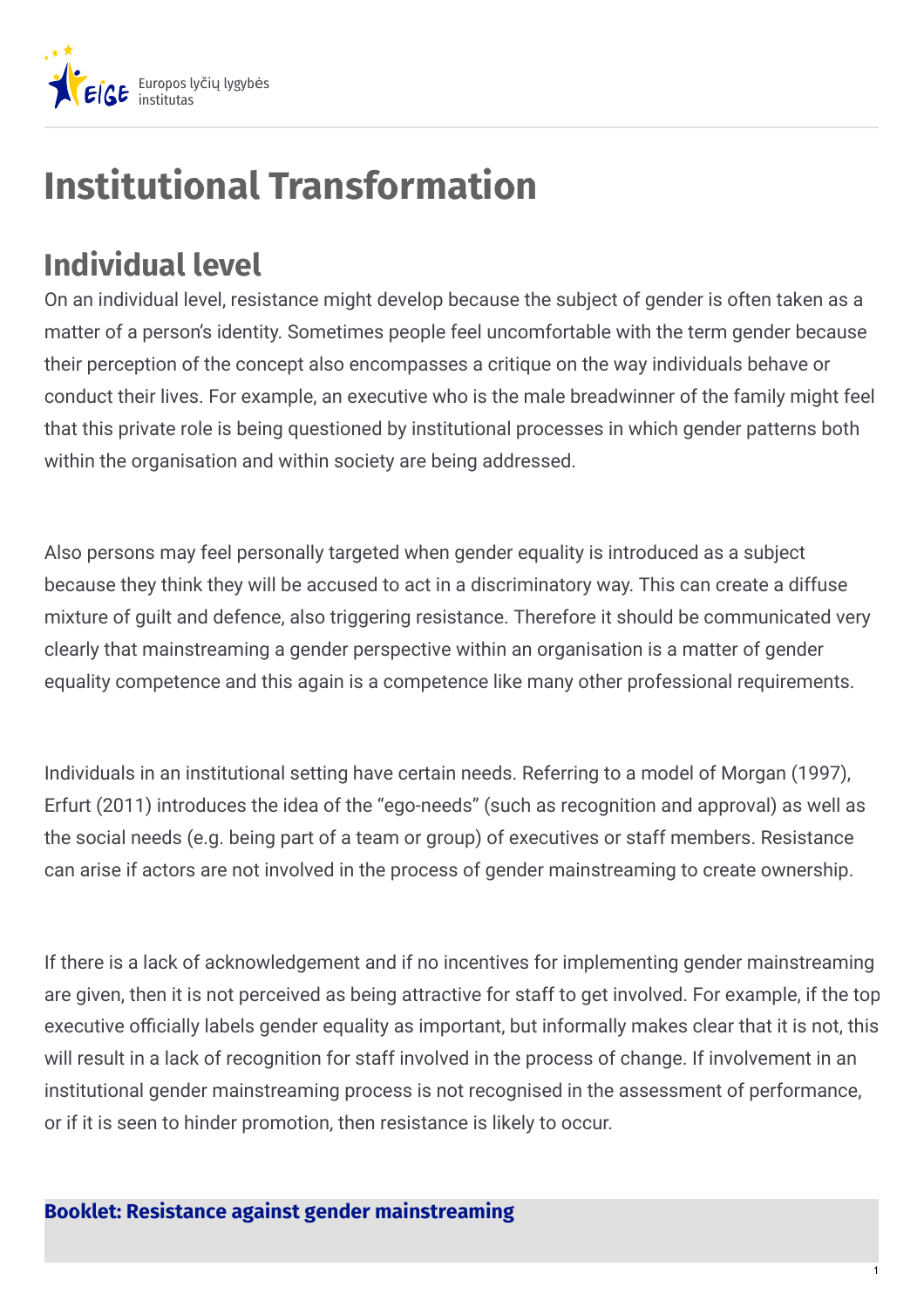

# **Institutional Transformation**

# **Individual level**

On an individual level, resistance might develop because the subject of gender is often taken as a matter of a person's identity. Sometimes people feel uncomfortable with the term gender because their perception of the concept also encompasses a critique on the way individuals behave or conduct their lives. For example, an executive who is the male breadwinner of the family might feel that this private role is being questioned by institutional processes in which gender patterns both within the organisation and within society are being addressed.

Also persons may feel personally targeted when gender equality is introduced as a subject because they think they will be accused to act in a discriminatory way. This can create a diffuse mixture of guilt and defence, also triggering resistance. Therefore it should be communicated very clearly that mainstreaming a gender perspective within an organisation is a matter of gender equality competence and this again is a competence like many other professional requirements.

Individuals in an institutional setting have certain needs. Referring to a model of Morgan (1997), Erfurt (2011) introduces the idea of the "ego-needs" (such as recognition and approval) as well as the social needs (e.g. being part of a team or group) of executives or staff members. Resistance can arise if actors are not involved in the process of gender mainstreaming to create ownership.

If there is a lack of acknowledgement and if no incentives for implementing gender mainstreaming are given, then it is not perceived as being attractive for staff to get involved. For example, if the top executive officially labels gender equality as important, but informally makes clear that it is not, this will result in a lack of recognition for staff involved in the process of change. If involvement in an institutional gender mainstreaming process is not recognised in the assessment of performance, or if it is seen to hinder promotion, then resistance is likely to occur.

#### **Booklet: Resistance against gender [mainstreaming](http://jamda.ub.gu.se/bitstream/1/171/1/Facing_Resistance.pdf)**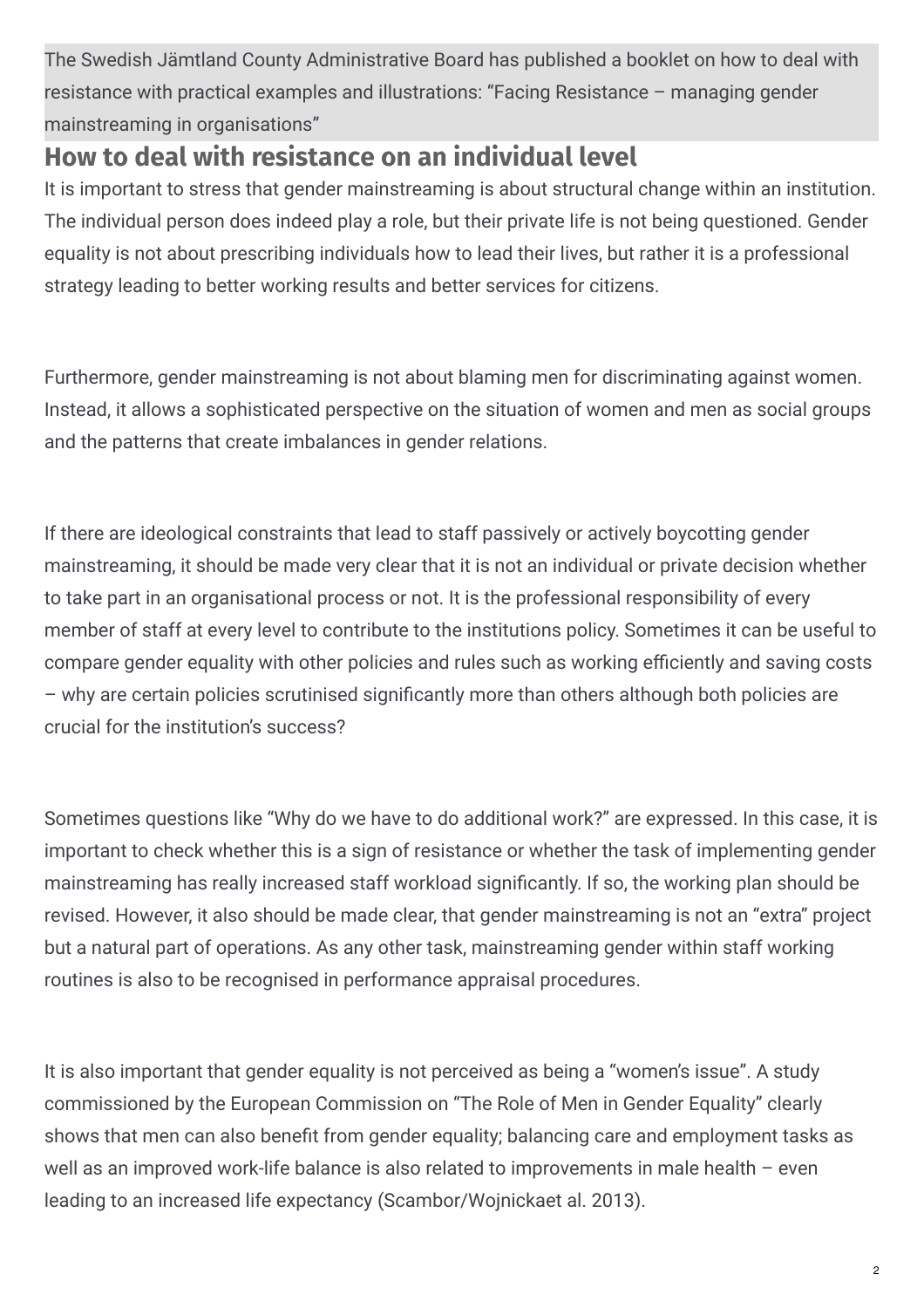The Swedish Jämtland County Administrative Board has published a booklet on how to deal with resistance with practical examples and illustrations: "Facing Resistance – managing gender mainstreaming in organisations"

## **How to deal with resistance on an individual level**

It is important to stress that gender mainstreaming is about structural change within an institution. The individual person does indeed play a role, but their private life is not being questioned. Gender equality is not about prescribing individuals how to lead their lives, but rather it is a professional strategy leading to better working results and better services for citizens.

Furthermore, gender mainstreaming is not about blaming men for discriminating against women. Instead, it allows a sophisticated perspective on the situation of women and men as social groups and the patterns that create imbalances in gender relations.

If there are ideological constraints that lead to staff passively or actively boycotting gender mainstreaming, it should be made very clear that it is not an individual or private decision whether to take part in an organisational process or not. It is the professional responsibility of every member of staff at every level to contribute to the institutions policy. Sometimes it can be useful to compare gender equality with other policies and rules such as working efficiently and saving costs – why are certain policies scrutinised significantly more than others although both policies are crucial for the institution's success?

Sometimes questions like "Why do we have to do additional work?" are expressed. In this case, it is important to check whether this is a sign of resistance or whether the task of implementing gender mainstreaming has really increased staff workload significantly. If so, the working plan should be revised. However, it also should be made clear, that gender mainstreaming is not an "extra" project but a natural part of operations. As any other task, mainstreaming gender within staff working routines is also to be recognised in performance appraisal procedures.

It is also important that gender equality is not perceived as being a "women's issue". A study commissioned by the European Commission on "The Role of Men in Gender Equality" clearly shows that men can also benefit from gender equality; balancing care and employment tasks as well as an improved work-life balance is also related to improvements in male health – even leading to an increased life expectancy (Scambor/Wojnickaet al. 2013).